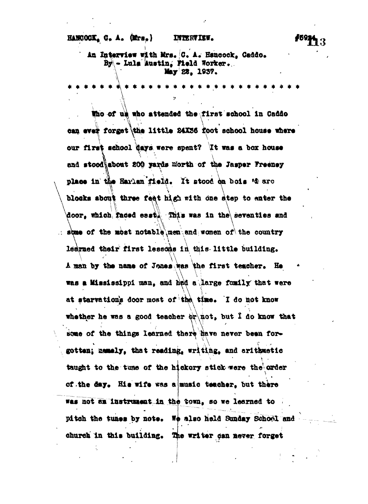i , , **In Interview with Mrs. C. A. Hsnoock, Caddo. - Luis Austin, Weld Worker. May 28, 1837.**

 $\ddot{\bm{x}}$   $\dot{\bm{x}}$ 

**pXaes in Ui« , It stood on bois '4 arc •ho of us who attended the .first school in Caddo** can ever forget the little **24X36** foot school house where **our first school days were spent? It was a box house** and stood\about 200 yards north of the Jasper Freeney blocks about three feat high with one atep to enter the door, which faced esst. This was in the seventies and  $\therefore$  some of the most notable men and women of the country learned their first lessons in this little building. A man by the name of Jones was the first teacher. He was a Mississippi man, and hed a large family that were at starvation's door most of the time. I do not know whether he was a good teacher  $\phi$ r not, but I do know that some of the things learned there have never been for**some of the things learned ther^** *mre* **never bean for\* \ .A v - '** taught to the tuse of the hickory stick were the order **ckory stick were the<sup>4</sup> order** of the day. His wife was a music teacher, but there **music teacher, but there** church in this building. The writer can never forget **was not an instrument in the town, so we learned to pitch the tunes by note. Wo also held Sunday School and**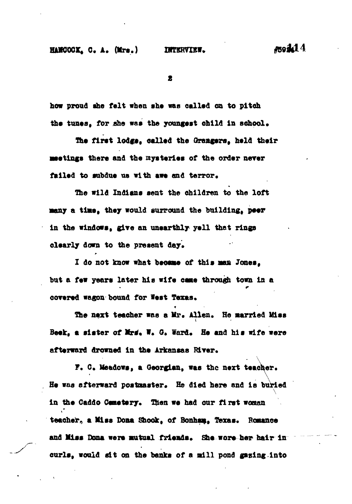2

**how proud the felt when she was called on to pltoh** the tunes. for she was the youngest child in school.

**Hie first lodge, called the Grangers, held their meetings there and the mysteries of the order nerer** failed to subdue us with awe and terror.

**The wild Indians sent the children to the loft •any a time, they would surround the building, peer in the windows, give an unearthly yell that rings** clearly down to the present day.

**1 do not know what became of this maa Jones, but a few years later his wife came through town in a** covered wagon bound for West Texas.

The next teacher was a Mr. Allen. He married Miss Beek, a sister of Mrs. W. G. Ward. He and his wife were afterward drowned in the Arkansas River.

F. C. Meadows, a Georgian, was the next teacher. He was afterward postmaster. He died here and is buried  $\frac{1}{2}$ in the Caddo Cemetery. Then we had our first woman teacher, a Miss Dona Shook, of Bonham, Texas. Romance and Miss Dona were mutual friends. She wore her hair in curls, would sit on the banks of a mill pond gazing into

**curls, would alt on the banks of a mill pond gasing into**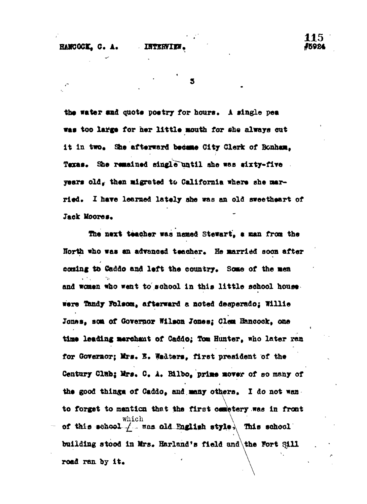HUCOCA, C. A. XHTRIXTER<sup> &</sup> C. C. C. A. XHTRIXXV**.** #59854

5

the water and quote poetry for hours. A single pea was too large for her little mouth for she always out it in two. She afterward became City Clerk of Bonham. Texas. She remained single until she was sixty-five **years old, then migrated to California where she married. I hare learned lately she was an old sweetheart of** Jack Moores.

**The next teacher waa named Stewart, a man from the** Horth who was an advanced teacher. He married soon after coming to Caddo and left the country. Some of the men and women who went to school in this little school house. **were Handy Folsom, afterward a noted desperado; Willie Jones, son of Governor Wilson Jones; Clem Hancock, one time leading merchant of Caddo; 5om Hunter, who later ran** for Governor; Mrs. E. Wadters, first president of the Century Clab; Mrs. C. A. Bilbo, prime mover of so many of **the good thin^a of Caddo, and many others. X do not waa to forget to mention that the first cemetery was in front** which  $\qquad \qquad$   $\qquad \qquad$   $\qquad$   $\qquad$   $\qquad$   $\qquad$   $\qquad$   $\qquad$   $\qquad$   $\qquad$   $\qquad$   $\qquad$   $\qquad$   $\qquad$   $\qquad$   $\qquad$   $\qquad$   $\qquad$   $\qquad$   $\qquad$   $\qquad$   $\qquad$   $\qquad$   $\qquad$   $\qquad$   $\qquad$   $\qquad$   $\qquad$   $\qquad$   $\qquad$   $\qquad$   $\qquad$   $\qquad$   $\qquad$   $\qquad$ **of this •cfcool ^ rras old QigU»h style , This school building stood in Mrs. Borland \*s field and the Tort Sill** road ran by it.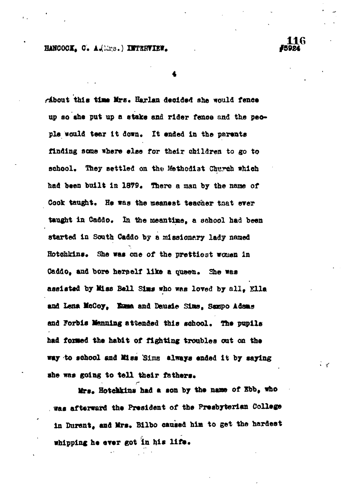## **Harcoci, and instrument and instrument and instrument and instrument and instrument and instrument and instrument**

**116**

े ४

*riboat* **this tlae Mrs. Harlan decided she would fence up so the put up a etake and rider fence and the people would tear It down. It ended in the parrots finding some There else for their children to go to school. They settled on the Methodist Church which** had been built in 1879. There a man by the name of Cook taught. He was the meanest teacher that ever taught in Caddo. In the meantime, a school had been **started in South Caddo by a missionary lady named** Hotehkins. She was one of the prettiest women in Caddo, and bore herself like a queen. She was **assisted by MiSB Ball** *Sins* **who was loved by all . Ella and Lena McCoy, Saaa and Deueie Sias, Saupo Adaas and Forbia Ifenning attended this school. The pupil© had fonaed the habit of fighting troubles oat on th» way to fchool and Visa Sims always ended it by saying she was going to tall their fathers.**

**r lirt. Hotemkin\* had a son by the name of Xbb, who** was afterward the President of the Presbyterian College in Durant, and Mrs. Bilbo caused him to get the hardest **in Durant, and lira. Bilbo caused him to get the hardest**

which is a second control of  $\mathcal{L}$  . The second control of  $\mathcal{L}$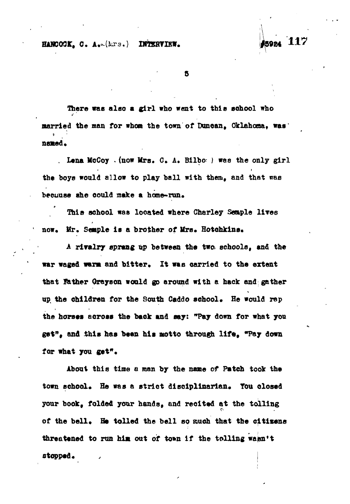**HANCOCK, C. A.-(Lrs.) DMERVIEW. 45924 117** 

S.

**There was also a girl who went to this school who** married the man for whom the town of Duncan, Oklahoma, was: named.

**. Lena McCoy .(now Mrs. G, A. Bilbo ) was the only girl the boys would allow to play ball with them, and that was beeuuse she could make a home-run.**

**This school was looated where Charley Sample liree now. Mr. Sesiple is a brother of** *UTB»* **Hotchkins.**

A rivalry sprang up between the two. schools, and the war waged warm and bitter. It was carried to the extent **that father Grayson would go around with a hack and gather** up the children for the South Caddo school. He would rap **the horses across the baok and say: "Pay down for what you get", and this has been his atotto through life , "Pay down for what you get".**

**About this tia® a man by the name of Patch took the** town school. He was a strict disciplinarian. You closed **your book, folded yo&r hands, and recited at the tolling** of the bell. He tolled the bell so much that the citizens **threatened to run his out of to»n if the tolling wasn't etopped.**